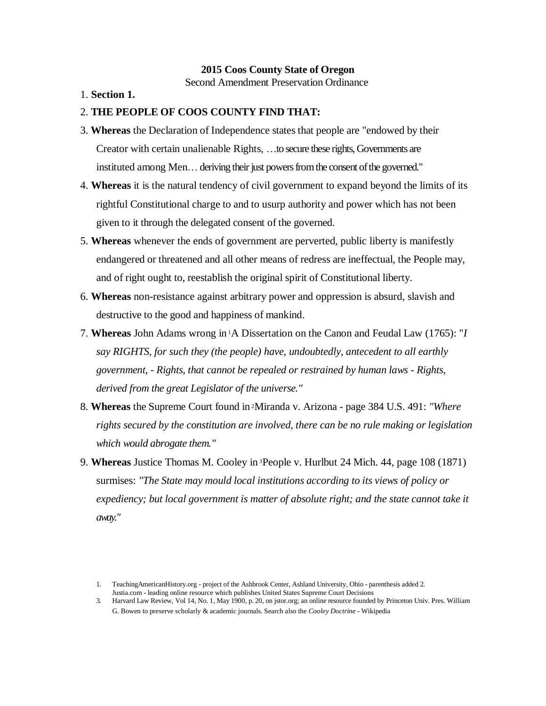#### **2015 Coos County State of Oregon**

Second Amendment Preservation Ordinance

1. **Section 1.**

#### 2. **THE PEOPLE OF COOS COUNTY FIND THAT:**

- 3. **Whereas** the Declaration of Independence states that people are "endowed by their Creator with certain unalienable Rights, ...to secure these rights, Governments are instituted among Men... deriving their just powers from the consent of the governed."
- 4. **Whereas** it is the natural tendency of civil government to expand beyond the limits of its rightful Constitutional charge to and to usurp authority and power which has not been given to it through the delegated consent of the governed.
- 5. **Whereas** whenever the ends of government are perverted, public liberty is manifestly endangered or threatened and all other means of redress are ineffectual, the People may, and of right ought to, reestablish the original spirit of Constitutional liberty.
- 6. **Whereas** non-resistance against arbitrary power and oppression is absurd, slavish and destructive to the good and happiness of mankind.
- 7. **Whereas** John Adams wrong in <sup>1</sup>A Dissertation on the Canon and Feudal Law (1765): "*I say RIGHTS, for such they (the people) have, undoubtedly, antecedent to all earthly government, - Rights, that cannot be repealed or restrained by human laws - Rights, derived from the great Legislator of the universe."*
- 8. **Whereas** the Supreme Court found in <sup>2</sup>Miranda v. Arizona page 384 U.S. 491: *"Where rights secured by the constitution are involved, there can be no rule making or legislation which would abrogate them."*
- 9. **Whereas** Justice Thomas M. Cooley in <sup>3</sup>People v. Hurlbut 24 Mich. 44, page 108 (1871) surmises: *"The State may mould local institutions according to its views of policy or expediency; but local government is matter of absolute right; and the state cannot take it away."*

3. Harvard Law Review, Vol 14, No. 1, May 1900, p. 20, on jstor.org; an online resource founded by Princeton Univ. Pres. William G. Bowen to preserve scholarly & academic journals. Search also the *Cooley Doctrine* - Wikipedia

<sup>1.</sup> TeachingAmericanHistory.org - project of the Ashbrook Center, Ashland University, Ohio - parenthesis added 2. Justia.com - leading online resource which publishes United States Supreme Court Decisions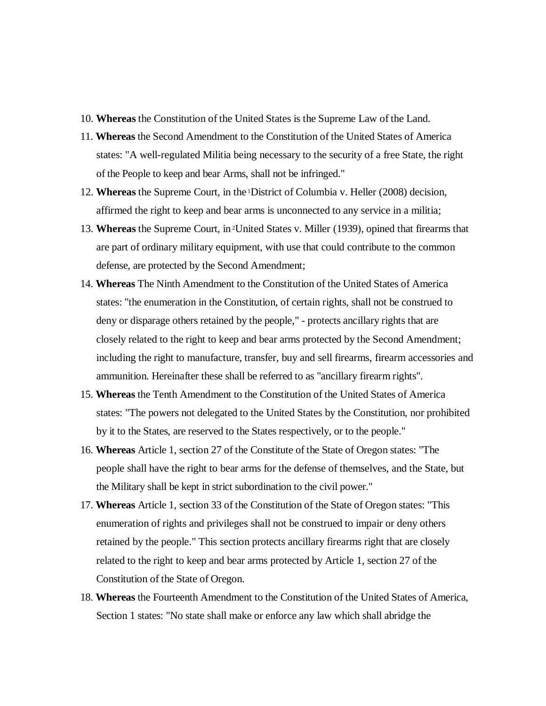- 10. **Whereas** the Constitution of the United States is the Supreme Law of the Land.
- 11. **Whereas** the Second Amendment to the Constitution of the United States of America states: "A well-regulated Militia being necessary to the security of a free State, the right of the People to keep and bear Arms, shall not be infringed."
- 12. **Whereas** the Supreme Court, in the <sup>1</sup>District of Columbia v. Heller (2008) decision, affirmed the right to keep and bear arms is unconnected to any service in a militia;
- 13. **Whereas** the Supreme Court, in <sup>2</sup>United States v. Miller (1939), opined that firearms that are part of ordinary military equipment, with use that could contribute to the common defense, are protected by the Second Amendment;
- 14. **Whereas** The Ninth Amendment to the Constitution of the United States of America states: "the enumeration in the Constitution, of certain rights, shall not be construed to deny or disparage others retained by the people," - protects ancillary rights that are closely related to the right to keep and bear arms protected by the Second Amendment; including the right to manufacture, transfer, buy and sell firearms, firearm accessories and ammunition. Hereinafter these shall be referred to as "ancillary firearm rights".
- 15. **Whereas** the Tenth Amendment to the Constitution of the United States of America states: "The powers not delegated to the United States by the Constitution, nor prohibited by it to the States, are reserved to the States respectively, or to the people."
- 16. **Whereas** Article 1, section 27 of the Constitute of the State of Oregon states: "The people shall have the right to bear arms for the defense of themselves, and the State, but the Military shall be kept in strict subordination to the civil power."
- 17. **Whereas** Article 1, section 33 of the Constitution of the State of Oregon states: "This enumeration of rights and privileges shall not be construed to impair or deny others retained by the people." This section protects ancillary firearms right that are closely related to the right to keep and bear arms protected by Article 1, section 27 of the Constitution of the State of Oregon.
- 18. **Whereas** the Fourteenth Amendment to the Constitution of the United States of America, Section 1 states: "No state shall make or enforce any law which shall abridge the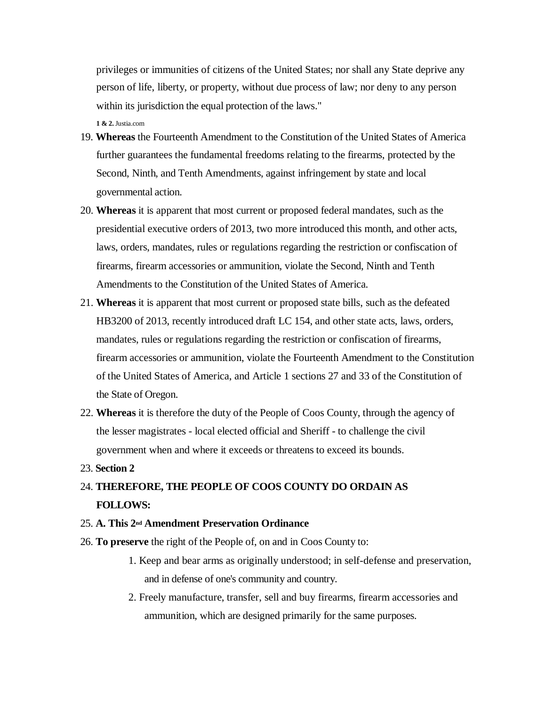privileges or immunities of citizens of the United States; nor shall any State deprive any person of life, liberty, or property, without due process of law; nor deny to any person within its jurisdiction the equal protection of the laws."

**1 & 2.** Justia.com

- 19. **Whereas** the Fourteenth Amendment to the Constitution of the United States of America further guarantees the fundamental freedoms relating to the firearms, protected by the Second, Ninth, and Tenth Amendments, against infringement by state and local governmental action.
- 20. **Whereas** it is apparent that most current or proposed federal mandates, such as the presidential executive orders of 2013, two more introduced this month, and other acts, laws, orders, mandates, rules or regulations regarding the restriction or confiscation of firearms, firearm accessories or ammunition, violate the Second, Ninth and Tenth Amendments to the Constitution of the United States of America.
- 21. **Whereas** it is apparent that most current or proposed state bills, such as the defeated HB3200 of 2013, recently introduced draft LC 154, and other state acts, laws, orders, mandates, rules or regulations regarding the restriction or confiscation of firearms, firearm accessories or ammunition, violate the Fourteenth Amendment to the Constitution of the United States of America, and Article 1 sections 27 and 33 of the Constitution of the State of Oregon.
- 22. **Whereas** it is therefore the duty of the People of Coos County, through the agency of the lesser magistrates - local elected official and Sheriff - to challenge the civil government when and where it exceeds or threatens to exceed its bounds.
- 23. **Section 2**

# 24. **THEREFORE, THE PEOPLE OF COOS COUNTY DO ORDAIN AS FOLLOWS:**

## 25. **A. This 2nd Amendment Preservation Ordinance**

- 26. **To preserve** the right of the People of, on and in Coos County to:
	- 1. Keep and bear arms as originally understood; in self-defense and preservation, and in defense of one's community and country.
	- 2. Freely manufacture, transfer, sell and buy firearms, firearm accessories and ammunition, which are designed primarily for the same purposes.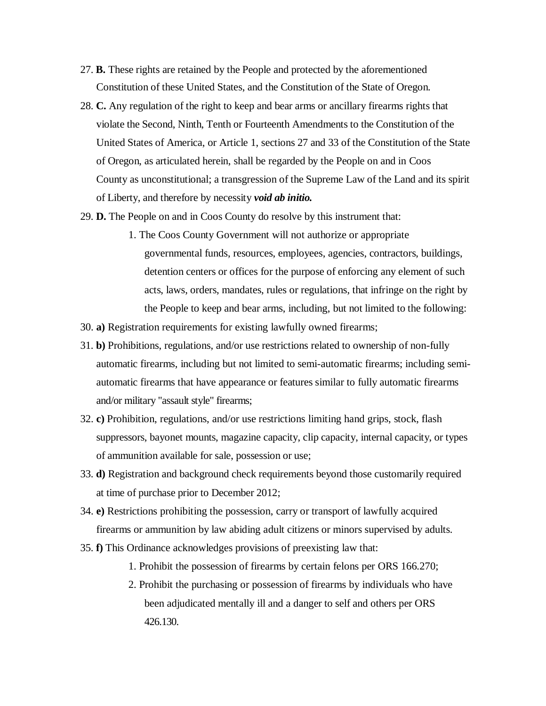- 27. **B.** These rights are retained by the People and protected by the aforementioned Constitution of these United States, and the Constitution of the State of Oregon.
- 28. **C.** Any regulation of the right to keep and bear arms or ancillary firearms rights that violate the Second, Ninth, Tenth or Fourteenth Amendments to the Constitution of the United States of America, or Article 1, sections 27 and 33 of the Constitution of the State of Oregon, as articulated herein, shall be regarded by the People on and in Coos County as unconstitutional; a transgression of the Supreme Law of the Land and its spirit of Liberty, and therefore by necessity *void ab initio.*
- 29. **D.** The People on and in Coos County do resolve by this instrument that:
	- 1. The Coos County Government will not authorize or appropriate governmental funds, resources, employees, agencies, contractors, buildings, detention centers or offices for the purpose of enforcing any element of such acts, laws, orders, mandates, rules or regulations, that infringe on the right by the People to keep and bear arms, including, but not limited to the following:
- 30. **a)** Registration requirements for existing lawfully owned firearms;
- 31. **b)** Prohibitions, regulations, and/or use restrictions related to ownership of non-fully automatic firearms, including but not limited to semi-automatic firearms; including semiautomatic firearms that have appearance or features similar to fully automatic firearms and/or military "assault style" firearms;
- 32. **c)** Prohibition, regulations, and/or use restrictions limiting hand grips, stock, flash suppressors, bayonet mounts, magazine capacity, clip capacity, internal capacity, or types of ammunition available for sale, possession or use;
- 33. **d)** Registration and background check requirements beyond those customarily required at time of purchase prior to December 2012;
- 34. **e)** Restrictions prohibiting the possession, carry or transport of lawfully acquired firearms or ammunition by law abiding adult citizens or minors supervised by adults.
- 35. **f)** This Ordinance acknowledges provisions of preexisting law that:
	- 1. Prohibit the possession of firearms by certain felons per ORS 166.270;
	- 2. Prohibit the purchasing or possession of firearms by individuals who have been adjudicated mentally ill and a danger to self and others per ORS 426.130.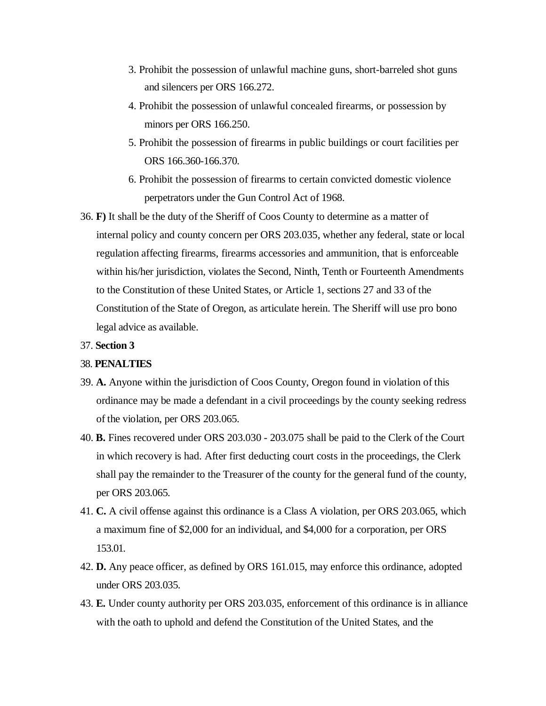- 3. Prohibit the possession of unlawful machine guns, short-barreled shot guns and silencers per ORS 166.272.
- 4. Prohibit the possession of unlawful concealed firearms, or possession by minors per ORS 166.250.
- 5. Prohibit the possession of firearms in public buildings or court facilities per ORS 166.360-166.370.
- 6. Prohibit the possession of firearms to certain convicted domestic violence perpetrators under the Gun Control Act of 1968.
- 36. **F)** It shall be the duty of the Sheriff of Coos County to determine as a matter of internal policy and county concern per ORS 203.035, whether any federal, state or local regulation affecting firearms, firearms accessories and ammunition, that is enforceable within his/her jurisdiction, violates the Second, Ninth, Tenth or Fourteenth Amendments to the Constitution of these United States, or Article 1, sections 27 and 33 of the Constitution of the State of Oregon, as articulate herein. The Sheriff will use pro bono legal advice as available.

#### 37. **Section 3**

### 38. **PENALTIES**

- 39. **A.** Anyone within the jurisdiction of Coos County, Oregon found in violation of this ordinance may be made a defendant in a civil proceedings by the county seeking redress of the violation, per ORS 203.065.
- 40. **B.** Fines recovered under ORS 203.030 203.075 shall be paid to the Clerk of the Court in which recovery is had. After first deducting court costs in the proceedings, the Clerk shall pay the remainder to the Treasurer of the county for the general fund of the county, per ORS 203.065.
- 41. **C.** A civil offense against this ordinance is a Class A violation, per ORS 203.065, which a maximum fine of \$2,000 for an individual, and \$4,000 for a corporation, per ORS 153.01.
- 42. **D.** Any peace officer, as defined by ORS 161.015, may enforce this ordinance, adopted under ORS 203.035.
- 43. **E.** Under county authority per ORS 203.035, enforcement of this ordinance is in alliance with the oath to uphold and defend the Constitution of the United States, and the